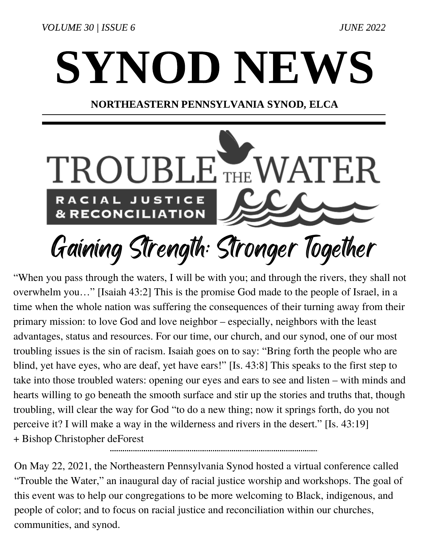VOLUME 30 | ISSUE 6 JUNE 2022

## SYNOD NEWS

## NORTHEASTERN PENNSYLVANIA SYNOD, ELCA



## Gaining Strength: Stronger Together

"When you pass through the waters, I will be with you; and through the rivers, they shall not overwhelm you…" [Isaiah 43:2] This is the promise God made to the people of Israel, in a time when the whole nation was suffering the consequences of their turning away from their primary mission: to love God and love neighbor – especially, neighbors with the least advantages, status and resources. For our time, our church, and our synod, one of our most troubling issues is the sin of racism. Isaiah goes on to say: "Bring forth the people who are blind, yet have eyes, who are deaf, yet have ears!" [Is. 43:8] This speaks to the first step to take into those troubled waters: opening our eyes and ears to see and listen – with minds and hearts willing to go beneath the smooth surface and stir up the stories and truths that, though troubling, will clear the way for God "to do a new thing; now it springs forth, do you not perceive it? I will make a way in the wilderness and rivers in the desert." [Is. 43:19] + Bishop Christopher deForest 

On May 22, 2021, the Northeastern Pennsylvania Synod hosted a virtual conference called "Trouble the Water," an inaugural day of racial justice worship and workshops. The goal of this event was to help our congregations to be more welcoming to Black, indigenous, and people of color; and to focus on racial justice and reconciliation within our churches, communities, and synod.